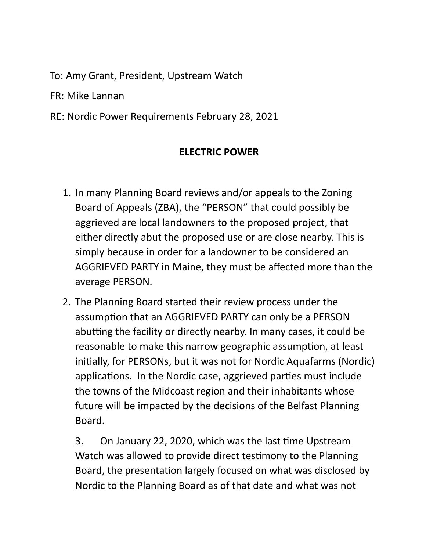To: Amy Grant, President, Upstream Watch

FR: Mike Lannan

RE: Nordic Power Requirements February 28, 2021

## **ELECTRIC POWER**

- 1. In many Planning Board reviews and/or appeals to the Zoning Board of Appeals (ZBA), the "PERSON" that could possibly be aggrieved are local landowners to the proposed project, that either directly abut the proposed use or are close nearby. This is simply because in order for a landowner to be considered an AGGRIEVED PARTY in Maine, they must be affected more than the average PERSON.
- 2. The Planning Board started their review process under the assumption that an AGGRIEVED PARTY can only be a PERSON abutting the facility or directly nearby. In many cases, it could be reasonable to make this narrow geographic assumption, at least initially, for PERSONs, but it was not for Nordic Aquafarms (Nordic) applications. In the Nordic case, aggrieved parties must include the towns of the Midcoast region and their inhabitants whose future will be impacted by the decisions of the Belfast Planning Board.

3. On January 22, 2020, which was the last time Upstream Watch was allowed to provide direct testimony to the Planning Board, the presentation largely focused on what was disclosed by Nordic to the Planning Board as of that date and what was not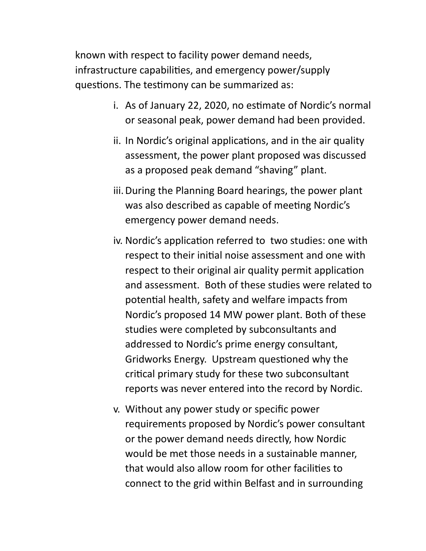known with respect to facility power demand needs, infrastructure capabilities, and emergency power/supply questions. The testimony can be summarized as:

- i. As of January 22, 2020, no estimate of Nordic's normal or seasonal peak, power demand had been provided.
- ii. In Nordic's original applications, and in the air quality assessment, the power plant proposed was discussed as a proposed peak demand "shaving" plant.
- iii.During the Planning Board hearings, the power plant was also described as capable of meeting Nordic's emergency power demand needs.
- iv. Nordic's application referred to two studies: one with respect to their initial noise assessment and one with respect to their original air quality permit application and assessment. Both of these studies were related to potential health, safety and welfare impacts from Nordic's proposed 14 MW power plant. Both of these studies were completed by subconsultants and addressed to Nordic's prime energy consultant, Gridworks Energy. Upstream questioned why the critical primary study for these two subconsultant reports was never entered into the record by Nordic.
- v. Without any power study or specific power requirements proposed by Nordic's power consultant or the power demand needs directly, how Nordic would be met those needs in a sustainable manner, that would also allow room for other facilities to connect to the grid within Belfast and in surrounding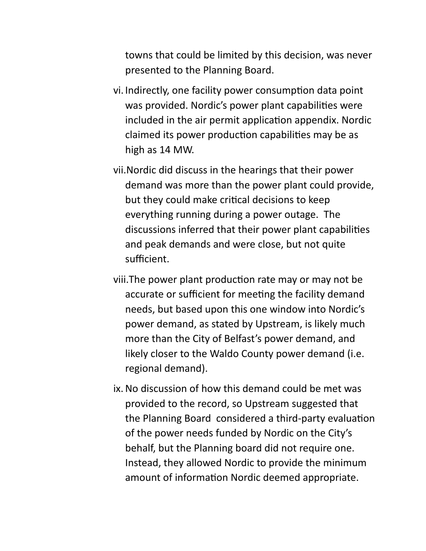towns that could be limited by this decision, was never presented to the Planning Board.

- vi. Indirectly, one facility power consumption data point was provided. Nordic's power plant capabilities were included in the air permit application appendix. Nordic claimed its power production capabilities may be as high as 14 MW.
- vii.Nordic did discuss in the hearings that their power demand was more than the power plant could provide, but they could make critical decisions to keep everything running during a power outage. The discussions inferred that their power plant capabilities and peak demands and were close, but not quite sufficient.
- viii. The power plant production rate may or may not be accurate or sufficient for meeting the facility demand needs, but based upon this one window into Nordic's power demand, as stated by Upstream, is likely much more than the City of Belfast's power demand, and likely closer to the Waldo County power demand (i.e. regional demand).
- ix.No discussion of how this demand could be met was provided to the record, so Upstream suggested that the Planning Board considered a third-party evaluation of the power needs funded by Nordic on the City's behalf, but the Planning board did not require one. Instead, they allowed Nordic to provide the minimum amount of information Nordic deemed appropriate.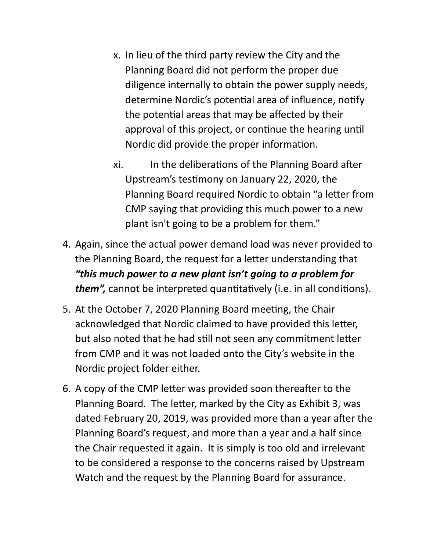- x. In lieu of the third party review the City and the Planning Board did not perform the proper due diligence internally to obtain the power supply needs, determine Nordic's potential area of influence, notify the potential areas that may be affected by their approval of this project, or continue the hearing until Nordic did provide the proper information.
- xi. In the deliberations of the Planning Board after Upstream's testimony on January 22, 2020, the Planning Board required Nordic to obtain "a letter from CMP saying that providing this much power to a new plant isn't going to be a problem for them."
- 4. Again, since the actual power demand load was never provided to the Planning Board, the request for a letter understanding that *"this much power to a new plant isn't going to a problem for them"*, cannot be interpreted quantitatively (i.e. in all conditions).
- 5. At the October 7, 2020 Planning Board meeting, the Chair acknowledged that Nordic claimed to have provided this letter, but also noted that he had still not seen any commitment letter from CMP and it was not loaded onto the City's website in the Nordic project folder either.
- 6. A copy of the CMP letter was provided soon thereafter to the Planning Board. The letter, marked by the City as Exhibit 3, was dated February 20, 2019, was provided more than a year after the Planning Board's request, and more than a year and a half since the Chair requested it again. It is simply is too old and irrelevant to be considered a response to the concerns raised by Upstream Watch and the request by the Planning Board for assurance.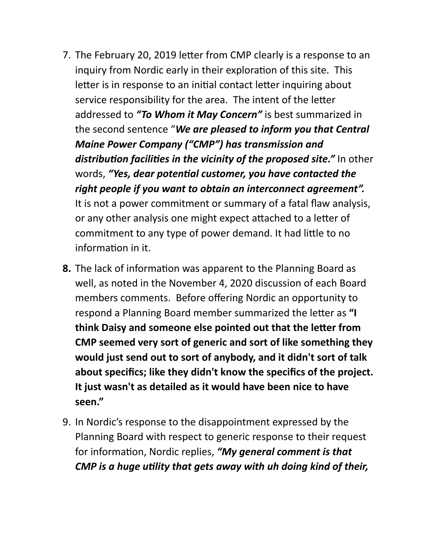- 7. The February 20, 2019 letter from CMP clearly is a response to an inquiry from Nordic early in their exploration of this site. This letter is in response to an initial contact letter inquiring about service responsibility for the area. The intent of the letter addressed to *"To Whom it May Concern"* is best summarized in the second sentence "*We are pleased to inform you that Central Maine Power Company ("CMP") has transmission and*  distribution facilities in the vicinity of the proposed site." In other words, "Yes, dear potential customer, you have contacted the *right people if you want to obtain an interconnect agreement".* It is not a power commitment or summary of a fatal flaw analysis, or any other analysis one might expect attached to a letter of commitment to any type of power demand. It had little to no information in it.
- **8.** The lack of information was apparent to the Planning Board as well, as noted in the November 4, 2020 discussion of each Board members comments. Before offering Nordic an opportunity to respond a Planning Board member summarized the letter as "I **think Daisy and someone else pointed out that the letter from CMP seemed very sort of generic and sort of like something they would just send out to sort of anybody, and it didn't sort of talk about specifics; like they didn't know the specifics of the project. It just wasn't as detailed as it would have been nice to have seen."**
- 9. In Nordic's response to the disappointment expressed by the Planning Board with respect to generic response to their request for information, Nordic replies, "My general comment is that *CMP is a huge utility that gets away with uh doing kind of their,*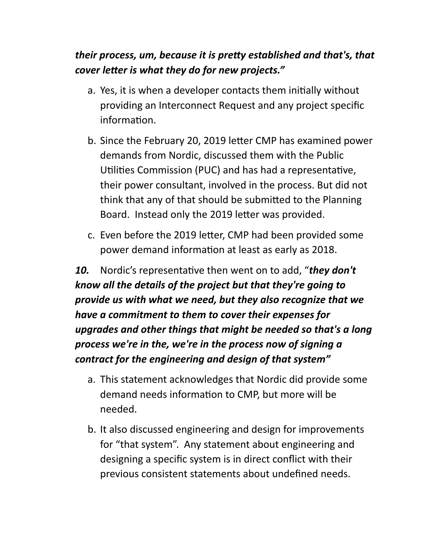# *their process, um, because it is pretty established and that's, that cover letter is what they do for new projects."*

- a. Yes, it is when a developer contacts them initially without providing an Interconnect Request and any project specific information.
- b. Since the February 20, 2019 letter CMP has examined power demands from Nordic, discussed them with the Public Utilities Commission (PUC) and has had a representative, their power consultant, involved in the process. But did not think that any of that should be submitted to the Planning Board. Instead only the 2019 letter was provided.
- c. Even before the 2019 letter, CMP had been provided some power demand information at least as early as 2018.

**10.** Nordic's representative then went on to add, "**they don't** *know all the details of the project but that they're going to provide us with what we need, but they also recognize that we have a commitment to them to cover their expenses for upgrades and other things that might be needed so that's a long process we're in the, we're in the process now of signing a contract for the engineering and design of that system"* 

- a. This statement acknowledges that Nordic did provide some demand needs information to CMP, but more will be needed.
- b. It also discussed engineering and design for improvements for "that system". Any statement about engineering and designing a specific system is in direct conflict with their previous consistent statements about undefined needs.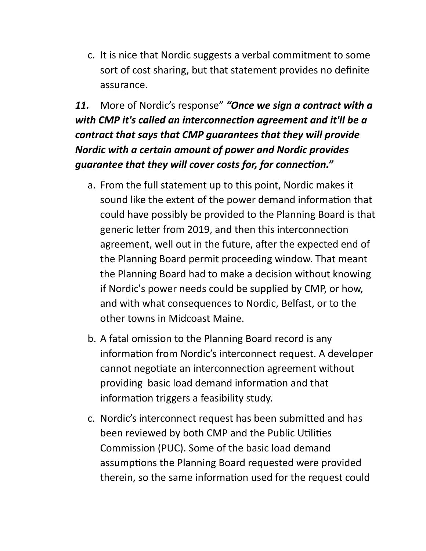c. It is nice that Nordic suggests a verbal commitment to some sort of cost sharing, but that statement provides no definite assurance.

*11.* More of Nordic's response" *"Once we sign a contract with a*  with CMP it's called an interconnection agreement and it'll be a *contract that says that CMP guarantees that they will provide Nordic with a certain amount of power and Nordic provides*  guarantee that they will cover costs for, for connection."

- a. From the full statement up to this point, Nordic makes it sound like the extent of the power demand information that could have possibly be provided to the Planning Board is that generic letter from 2019, and then this interconnection agreement, well out in the future, after the expected end of the Planning Board permit proceeding window. That meant the Planning Board had to make a decision without knowing if Nordic's power needs could be supplied by CMP, or how, and with what consequences to Nordic, Belfast, or to the other towns in Midcoast Maine.
- b. A fatal omission to the Planning Board record is any information from Nordic's interconnect request. A developer cannot negotiate an interconnection agreement without providing basic load demand information and that information triggers a feasibility study.
- c. Nordic's interconnect request has been submitted and has been reviewed by both CMP and the Public Utilities Commission (PUC). Some of the basic load demand assumptions the Planning Board requested were provided therein, so the same information used for the request could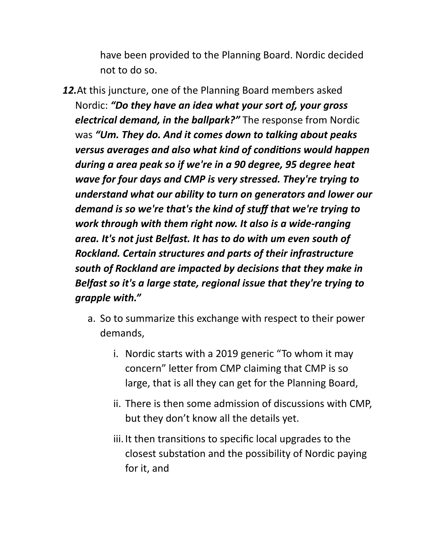have been provided to the Planning Board. Nordic decided not to do so.

- *12.*At this juncture, one of the Planning Board members asked Nordic: *"Do they have an idea what your sort of, your gross electrical demand, in the ballpark?"* The response from Nordic was *"Um. They do. And it comes down to talking about peaks versus averages and also what kind of conditions would happen during a area peak so if we're in a 90 degree, 95 degree heat wave for four days and CMP is very stressed. They're trying to understand what our ability to turn on generators and lower our demand is so we're that's the kind of stuff that we're trying to work through with them right now. It also is a wide-ranging area. It's not just Belfast. It has to do with um even south of Rockland. Certain structures and parts of their infrastructure south of Rockland are impacted by decisions that they make in Belfast so it's a large state, regional issue that they're trying to grapple with."* 
	- a. So to summarize this exchange with respect to their power demands,
		- i. Nordic starts with a 2019 generic "To whom it may concern" letter from CMP claiming that CMP is so large, that is all they can get for the Planning Board,
		- ii. There is then some admission of discussions with CMP, but they don't know all the details yet.
		- iii. It then transitions to specific local upgrades to the closest substation and the possibility of Nordic paying for it, and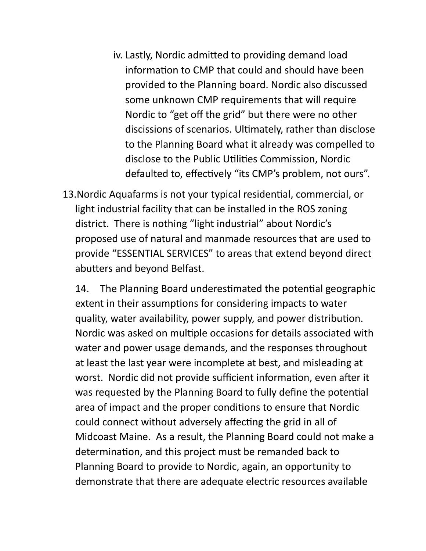- iv. Lastly, Nordic admitted to providing demand load information to CMP that could and should have been provided to the Planning board. Nordic also discussed some unknown CMP requirements that will require Nordic to "get off the grid" but there were no other discissions of scenarios. Ultimately, rather than disclose to the Planning Board what it already was compelled to disclose to the Public Utilities Commission, Nordic defaulted to, effectively "its CMP's problem, not ours".
- 13. Nordic Aquafarms is not your typical residential, commercial, or light industrial facility that can be installed in the ROS zoning district. There is nothing "light industrial" about Nordic's proposed use of natural and manmade resources that are used to provide "ESSENTIAL SERVICES" to areas that extend beyond direct abutters and beyond Belfast.

14. The Planning Board underestimated the potential geographic extent in their assumptions for considering impacts to water quality, water availability, power supply, and power distribution. Nordic was asked on multiple occasions for details associated with water and power usage demands, and the responses throughout at least the last year were incomplete at best, and misleading at worst. Nordic did not provide sufficient information, even after it was requested by the Planning Board to fully define the potential area of impact and the proper conditions to ensure that Nordic could connect without adversely affecting the grid in all of Midcoast Maine. As a result, the Planning Board could not make a determination, and this project must be remanded back to Planning Board to provide to Nordic, again, an opportunity to demonstrate that there are adequate electric resources available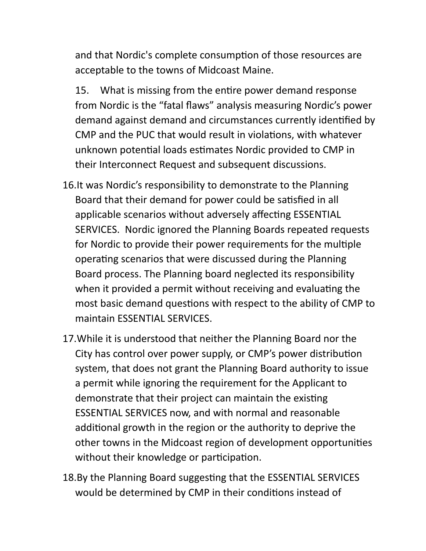and that Nordic's complete consumption of those resources are acceptable to the towns of Midcoast Maine.

15. What is missing from the entire power demand response from Nordic is the "fatal flaws" analysis measuring Nordic's power demand against demand and circumstances currently identified by CMP and the PUC that would result in violations, with whatever unknown potential loads estimates Nordic provided to CMP in their Interconnect Request and subsequent discussions.

- 16.It was Nordic's responsibility to demonstrate to the Planning Board that their demand for power could be satisfied in all applicable scenarios without adversely affecting ESSENTIAL SERVICES. Nordic ignored the Planning Boards repeated requests for Nordic to provide their power requirements for the multiple operating scenarios that were discussed during the Planning Board process. The Planning board neglected its responsibility when it provided a permit without receiving and evaluating the most basic demand questions with respect to the ability of CMP to maintain ESSENTIAL SERVICES.
- 17.While it is understood that neither the Planning Board nor the City has control over power supply, or CMP's power distribution system, that does not grant the Planning Board authority to issue a permit while ignoring the requirement for the Applicant to demonstrate that their project can maintain the existing ESSENTIAL SERVICES now, and with normal and reasonable additional growth in the region or the authority to deprive the other towns in the Midcoast region of development opportunities without their knowledge or participation.
- 18.By the Planning Board suggesting that the ESSENTIAL SERVICES would be determined by CMP in their conditions instead of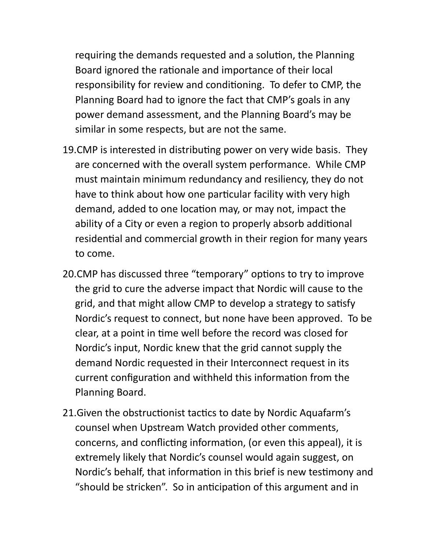requiring the demands requested and a solution, the Planning Board ignored the rationale and importance of their local responsibility for review and conditioning. To defer to CMP, the Planning Board had to ignore the fact that CMP's goals in any power demand assessment, and the Planning Board's may be similar in some respects, but are not the same.

- 19. CMP is interested in distributing power on very wide basis. They are concerned with the overall system performance. While CMP must maintain minimum redundancy and resiliency, they do not have to think about how one particular facility with very high demand, added to one location may, or may not, impact the ability of a City or even a region to properly absorb additional residential and commercial growth in their region for many years to come.
- 20.CMP has discussed three "temporary" options to try to improve the grid to cure the adverse impact that Nordic will cause to the grid, and that might allow CMP to develop a strategy to satisfy Nordic's request to connect, but none have been approved. To be clear, at a point in time well before the record was closed for Nordic's input, Nordic knew that the grid cannot supply the demand Nordic requested in their Interconnect request in its current configuration and withheld this information from the Planning Board.
- 21. Given the obstructionist tactics to date by Nordic Aquafarm's counsel when Upstream Watch provided other comments, concerns, and conflicting information, (or even this appeal), it is extremely likely that Nordic's counsel would again suggest, on Nordic's behalf, that information in this brief is new testimony and "should be stricken". So in anticipation of this argument and in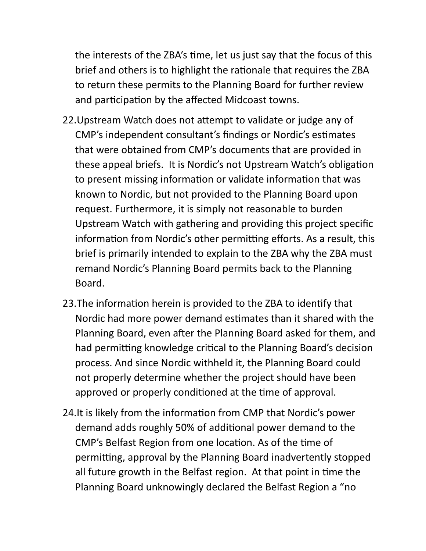the interests of the ZBA's time, let us just say that the focus of this brief and others is to highlight the rationale that requires the ZBA to return these permits to the Planning Board for further review and participation by the affected Midcoast towns.

- 22. Upstream Watch does not attempt to validate or judge any of CMP's independent consultant's findings or Nordic's estimates that were obtained from CMP's documents that are provided in these appeal briefs. It is Nordic's not Upstream Watch's obligation to present missing information or validate information that was known to Nordic, but not provided to the Planning Board upon request. Furthermore, it is simply not reasonable to burden Upstream Watch with gathering and providing this project specific information from Nordic's other permitting efforts. As a result, this brief is primarily intended to explain to the ZBA why the ZBA must remand Nordic's Planning Board permits back to the Planning Board.
- 23. The information herein is provided to the ZBA to identify that Nordic had more power demand estimates than it shared with the Planning Board, even after the Planning Board asked for them, and had permitting knowledge critical to the Planning Board's decision process. And since Nordic withheld it, the Planning Board could not properly determine whether the project should have been approved or properly conditioned at the time of approval.
- 24. It is likely from the information from CMP that Nordic's power demand adds roughly 50% of additional power demand to the CMP's Belfast Region from one location. As of the time of permitting, approval by the Planning Board inadvertently stopped all future growth in the Belfast region. At that point in time the Planning Board unknowingly declared the Belfast Region a "no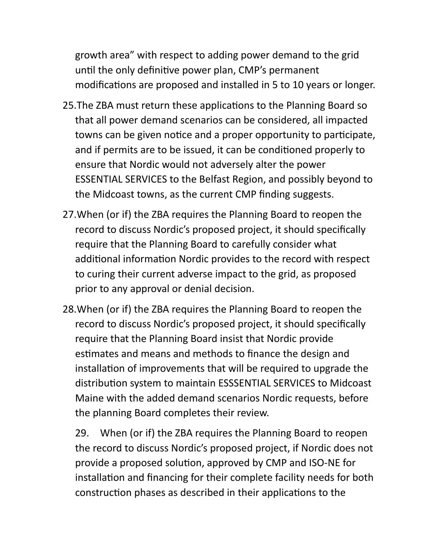growth area" with respect to adding power demand to the grid until the only definitive power plan, CMP's permanent modifications are proposed and installed in 5 to 10 years or longer.

- 25. The ZBA must return these applications to the Planning Board so that all power demand scenarios can be considered, all impacted towns can be given notice and a proper opportunity to participate, and if permits are to be issued, it can be conditioned properly to ensure that Nordic would not adversely alter the power ESSENTIAL SERVICES to the Belfast Region, and possibly beyond to the Midcoast towns, as the current CMP finding suggests.
- 27.When (or if) the ZBA requires the Planning Board to reopen the record to discuss Nordic's proposed project, it should specifically require that the Planning Board to carefully consider what additional information Nordic provides to the record with respect to curing their current adverse impact to the grid, as proposed prior to any approval or denial decision.
- 28.When (or if) the ZBA requires the Planning Board to reopen the record to discuss Nordic's proposed project, it should specifically require that the Planning Board insist that Nordic provide estimates and means and methods to finance the design and installation of improvements that will be required to upgrade the distribution system to maintain ESSSENTIAL SERVICES to Midcoast Maine with the added demand scenarios Nordic requests, before the planning Board completes their review.

29. When (or if) the ZBA requires the Planning Board to reopen the record to discuss Nordic's proposed project, if Nordic does not provide a proposed solution, approved by CMP and ISO-NE for installation and financing for their complete facility needs for both construction phases as described in their applications to the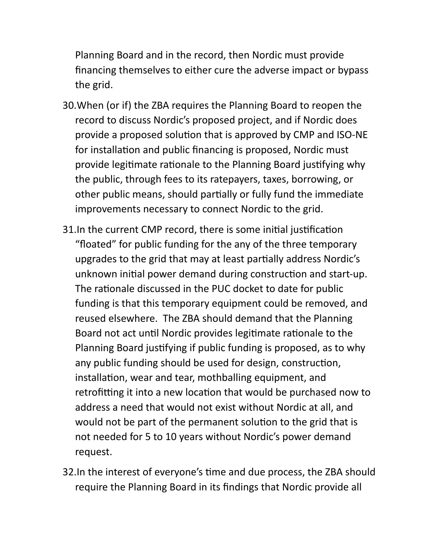Planning Board and in the record, then Nordic must provide financing themselves to either cure the adverse impact or bypass the grid.

- 30.When (or if) the ZBA requires the Planning Board to reopen the record to discuss Nordic's proposed project, and if Nordic does provide a proposed solution that is approved by CMP and ISO-NE for installation and public financing is proposed, Nordic must provide legitimate rationale to the Planning Board justifying why the public, through fees to its ratepayers, taxes, borrowing, or other public means, should partially or fully fund the immediate improvements necessary to connect Nordic to the grid.
- 31. In the current CMP record, there is some initial justification "floated" for public funding for the any of the three temporary upgrades to the grid that may at least partially address Nordic's unknown initial power demand during construction and start-up. The rationale discussed in the PUC docket to date for public funding is that this temporary equipment could be removed, and reused elsewhere. The ZBA should demand that the Planning Board not act until Nordic provides legitimate rationale to the Planning Board justifying if public funding is proposed, as to why any public funding should be used for design, construction, installation, wear and tear, mothballing equipment, and retrofitting it into a new location that would be purchased now to address a need that would not exist without Nordic at all, and would not be part of the permanent solution to the grid that is not needed for 5 to 10 years without Nordic's power demand request.
- 32. In the interest of everyone's time and due process, the ZBA should require the Planning Board in its findings that Nordic provide all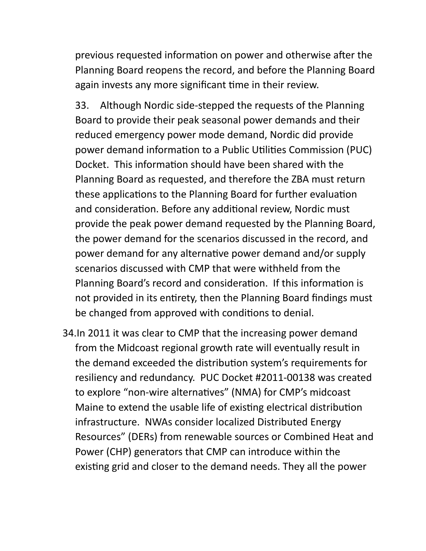previous requested information on power and otherwise after the Planning Board reopens the record, and before the Planning Board again invests any more significant time in their review.

33. Although Nordic side-stepped the requests of the Planning Board to provide their peak seasonal power demands and their reduced emergency power mode demand, Nordic did provide power demand information to a Public Utilities Commission (PUC) Docket. This information should have been shared with the Planning Board as requested, and therefore the ZBA must return these applications to the Planning Board for further evaluation and consideration. Before any additional review, Nordic must provide the peak power demand requested by the Planning Board, the power demand for the scenarios discussed in the record, and power demand for any alternative power demand and/or supply scenarios discussed with CMP that were withheld from the Planning Board's record and consideration. If this information is not provided in its entirety, then the Planning Board findings must be changed from approved with conditions to denial.

34.In 2011 it was clear to CMP that the increasing power demand from the Midcoast regional growth rate will eventually result in the demand exceeded the distribution system's requirements for resiliency and redundancy. PUC Docket #2011-00138 was created to explore "non-wire alternatives" (NMA) for CMP's midcoast Maine to extend the usable life of existing electrical distribution infrastructure. NWAs consider localized Distributed Energy Resources" (DERs) from renewable sources or Combined Heat and Power (CHP) generators that CMP can introduce within the existing grid and closer to the demand needs. They all the power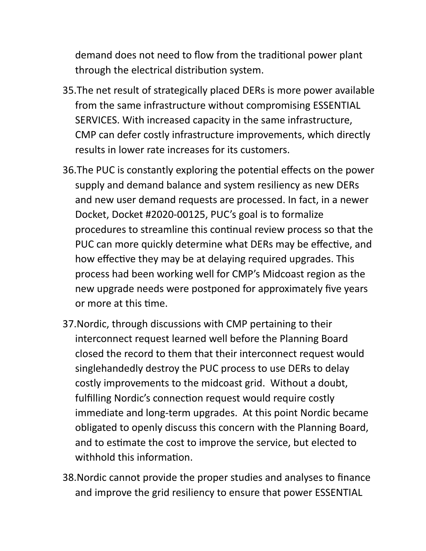demand does not need to flow from the traditional power plant through the electrical distribution system.

- 35.The net result of strategically placed DERs is more power available from the same infrastructure without compromising ESSENTIAL SERVICES. With increased capacity in the same infrastructure, CMP can defer costly infrastructure improvements, which directly results in lower rate increases for its customers.
- 36. The PUC is constantly exploring the potential effects on the power supply and demand balance and system resiliency as new DERs and new user demand requests are processed. In fact, in a newer Docket, Docket #2020-00125, PUC's goal is to formalize procedures to streamline this continual review process so that the PUC can more quickly determine what DERs may be effective, and how effective they may be at delaying required upgrades. This process had been working well for CMP's Midcoast region as the new upgrade needs were postponed for approximately five years or more at this time.
- 37.Nordic, through discussions with CMP pertaining to their interconnect request learned well before the Planning Board closed the record to them that their interconnect request would singlehandedly destroy the PUC process to use DERs to delay costly improvements to the midcoast grid. Without a doubt, fulfilling Nordic's connection request would require costly immediate and long-term upgrades. At this point Nordic became obligated to openly discuss this concern with the Planning Board, and to estimate the cost to improve the service, but elected to withhold this information.
- 38.Nordic cannot provide the proper studies and analyses to finance and improve the grid resiliency to ensure that power ESSENTIAL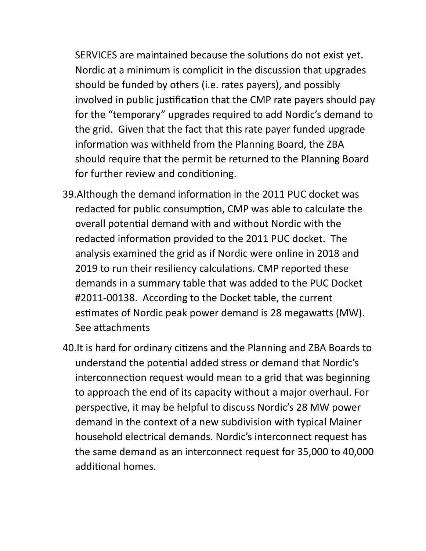SERVICES are maintained because the solutions do not exist yet. Nordic at a minimum is complicit in the discussion that upgrades should be funded by others (i.e. rates payers), and possibly involved in public justification that the CMP rate payers should pay for the "temporary" upgrades required to add Nordic's demand to the grid. Given that the fact that this rate payer funded upgrade information was withheld from the Planning Board, the ZBA should require that the permit be returned to the Planning Board for further review and conditioning.

- 39. Although the demand information in the 2011 PUC docket was redacted for public consumption, CMP was able to calculate the overall potential demand with and without Nordic with the redacted information provided to the 2011 PUC docket. The analysis examined the grid as if Nordic were online in 2018 and 2019 to run their resiliency calculations. CMP reported these demands in a summary table that was added to the PUC Docket #2011-00138. According to the Docket table, the current estimates of Nordic peak power demand is 28 megawatts (MW). See attachments
- 40. It is hard for ordinary citizens and the Planning and ZBA Boards to understand the potential added stress or demand that Nordic's interconnection request would mean to a grid that was beginning to approach the end of its capacity without a major overhaul. For perspective, it may be helpful to discuss Nordic's 28 MW power demand in the context of a new subdivision with typical Mainer household electrical demands. Nordic's interconnect request has the same demand as an interconnect request for 35,000 to 40,000 additional homes.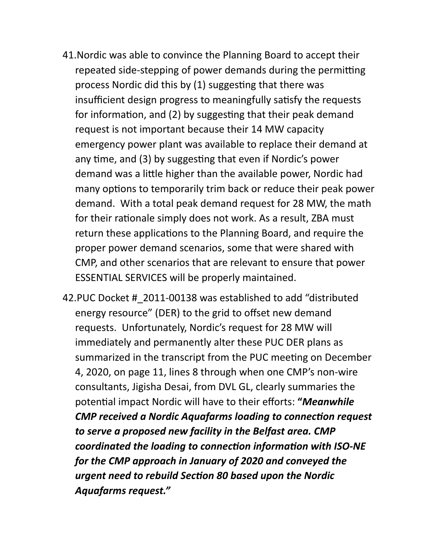- 41.Nordic was able to convince the Planning Board to accept their repeated side-stepping of power demands during the permitting process Nordic did this by (1) suggesting that there was insufficient design progress to meaningfully satisfy the requests for information, and (2) by suggesting that their peak demand request is not important because their 14 MW capacity emergency power plant was available to replace their demand at any time, and (3) by suggesting that even if Nordic's power demand was a little higher than the available power, Nordic had many options to temporarily trim back or reduce their peak power demand. With a total peak demand request for 28 MW, the math for their rationale simply does not work. As a result, ZBA must return these applications to the Planning Board, and require the proper power demand scenarios, some that were shared with CMP, and other scenarios that are relevant to ensure that power ESSENTIAL SERVICES will be properly maintained.
- 42.PUC Docket #\_2011-00138 was established to add "distributed energy resource" (DER) to the grid to offset new demand requests. Unfortunately, Nordic's request for 28 MW will immediately and permanently alter these PUC DER plans as summarized in the transcript from the PUC meeting on December 4, 2020, on page 11, lines 8 through when one CMP's non-wire consultants, Jigisha Desai, from DVL GL, clearly summaries the potential impact Nordic will have to their efforts: "Meanwhile *CMP received a Nordic Aquafarms loading to connection request to serve a proposed new facility in the Belfast area. CMP*  coordinated the loading to connection information with ISO-NE *for the CMP approach in January of 2020 and conveyed the*  **urgent need to rebuild Section 80 based upon the Nordic** *Aquafarms request."*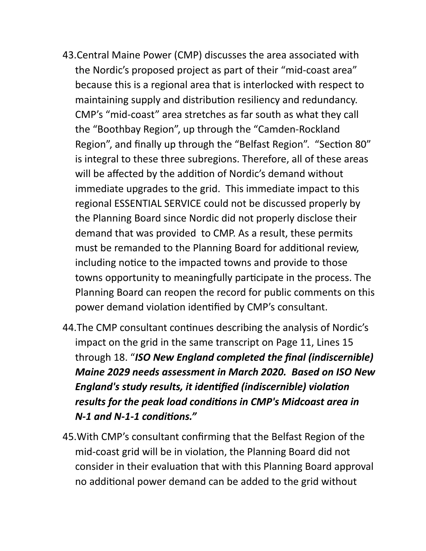- 43.Central Maine Power (CMP) discusses the area associated with the Nordic's proposed project as part of their "mid-coast area" because this is a regional area that is interlocked with respect to maintaining supply and distribution resiliency and redundancy. CMP's "mid-coast" area stretches as far south as what they call the "Boothbay Region", up through the "Camden-Rockland Region", and finally up through the "Belfast Region". "Section 80" is integral to these three subregions. Therefore, all of these areas will be affected by the addition of Nordic's demand without immediate upgrades to the grid. This immediate impact to this regional ESSENTIAL SERVICE could not be discussed properly by the Planning Board since Nordic did not properly disclose their demand that was provided to CMP. As a result, these permits must be remanded to the Planning Board for additional review, including notice to the impacted towns and provide to those towns opportunity to meaningfully participate in the process. The Planning Board can reopen the record for public comments on this power demand violation identified by CMP's consultant.
- 44. The CMP consultant continues describing the analysis of Nordic's impact on the grid in the same transcript on Page 11, Lines 15 through 18. "*ISO New England completed the final (indiscernible) Maine 2029 needs assessment in March 2020. Based on ISO New England's study results, it identified (indiscernible) violation results for the peak load conditions in CMP's Midcoast area in*  $N-1$  and N-1-1 conditions."
- 45.With CMP's consultant confirming that the Belfast Region of the mid-coast grid will be in violation, the Planning Board did not consider in their evaluation that with this Planning Board approval no additional power demand can be added to the grid without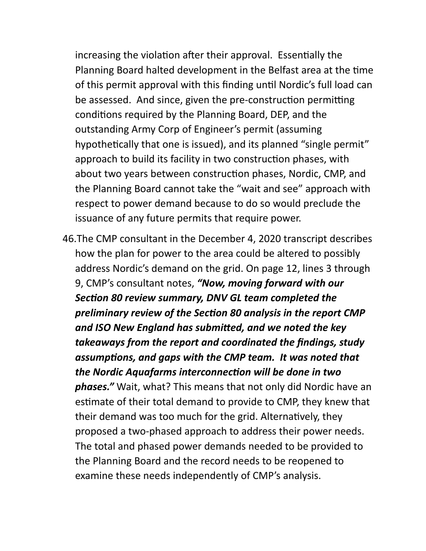increasing the violation after their approval. Essentially the Planning Board halted development in the Belfast area at the time of this permit approval with this finding until Nordic's full load can be assessed. And since, given the pre-construction permitting conditions required by the Planning Board, DEP, and the outstanding Army Corp of Engineer's permit (assuming hypothetically that one is issued), and its planned "single permit" approach to build its facility in two construction phases, with about two years between construction phases, Nordic, CMP, and the Planning Board cannot take the "wait and see" approach with respect to power demand because to do so would preclude the issuance of any future permits that require power.

46.The CMP consultant in the December 4, 2020 transcript describes how the plan for power to the area could be altered to possibly address Nordic's demand on the grid. On page 12, lines 3 through 9, CMP's consultant notes, *"Now, moving forward with our*  **Section 80 review summary, DNV GL team completed the** *preliminary review of the Section 80 analysis in the report CMP* and ISO New England has submitted, and we noted the key *takeaways from the report and coordinated the findings, study*  assumptions, and gaps with the CMP team. It was noted that the Nordic Aquafarms interconnection will be done in two *phases."* Wait, what? This means that not only did Nordic have an estimate of their total demand to provide to CMP, they knew that their demand was too much for the grid. Alternatively, they proposed a two-phased approach to address their power needs. The total and phased power demands needed to be provided to the Planning Board and the record needs to be reopened to examine these needs independently of CMP's analysis.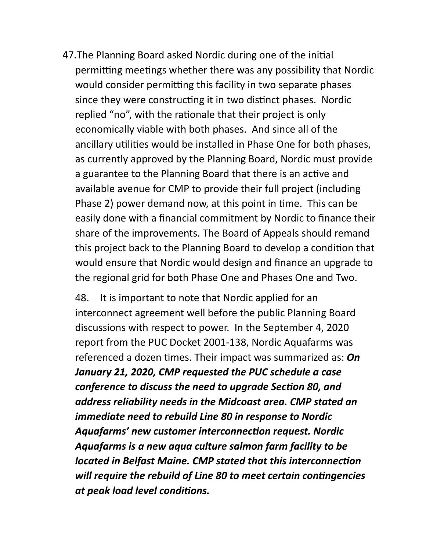47. The Planning Board asked Nordic during one of the initial permitting meetings whether there was any possibility that Nordic would consider permitting this facility in two separate phases since they were constructing it in two distinct phases. Nordic replied "no", with the rationale that their project is only economically viable with both phases. And since all of the ancillary utilities would be installed in Phase One for both phases, as currently approved by the Planning Board, Nordic must provide a guarantee to the Planning Board that there is an active and available avenue for CMP to provide their full project (including Phase 2) power demand now, at this point in time. This can be easily done with a financial commitment by Nordic to finance their share of the improvements. The Board of Appeals should remand this project back to the Planning Board to develop a condition that would ensure that Nordic would design and finance an upgrade to the regional grid for both Phase One and Phases One and Two.

48. It is important to note that Nordic applied for an interconnect agreement well before the public Planning Board discussions with respect to power. In the September 4, 2020 report from the PUC Docket 2001-138, Nordic Aquafarms was referenced a dozen times. Their impact was summarized as: **On** *January 21, 2020, CMP requested the PUC schedule a case conference to discuss the need to upgrade Section 80, and address reliability needs in the Midcoast area. CMP stated an immediate need to rebuild Line 80 in response to Nordic*  Aquafarms' new customer interconnection request. Nordic *Aquafarms is a new aqua culture salmon farm facility to be located in Belfast Maine. CMP stated that this interconnection* will require the rebuild of Line 80 to meet certain contingencies *at peak load level conditions.*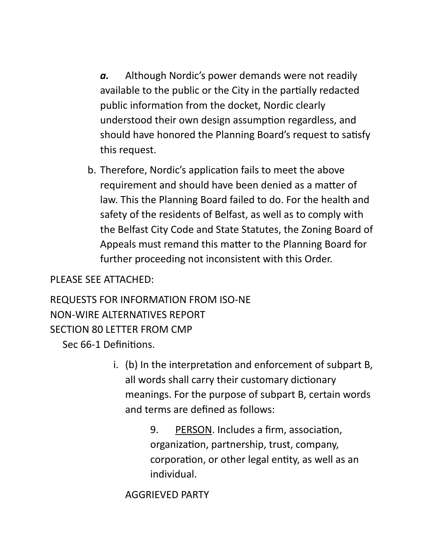*a.* Although Nordic's power demands were not readily available to the public or the City in the partially redacted public information from the docket, Nordic clearly understood their own design assumption regardless, and should have honored the Planning Board's request to satisfy this request.

b. Therefore, Nordic's application fails to meet the above requirement and should have been denied as a matter of law. This the Planning Board failed to do. For the health and safety of the residents of Belfast, as well as to comply with the Belfast City Code and State Statutes, the Zoning Board of Appeals must remand this matter to the Planning Board for further proceeding not inconsistent with this Order.

### PLEASE SEE ATTACHED:

REQUESTS FOR INFORMATION FROM ISO-NE NON-WIRE ALTERNATIVES REPORT SECTION 80 LETTER FROM CMP

Sec 66-1 Definitions.

 $i.$  (b) In the interpretation and enforcement of subpart B, all words shall carry their customary dictionary meanings. For the purpose of subpart B, certain words and terms are defined as follows:

> 9. PERSON. Includes a firm, association, organization, partnership, trust, company, corporation, or other legal entity, as well as an individual.

AGGRIEVED PARTY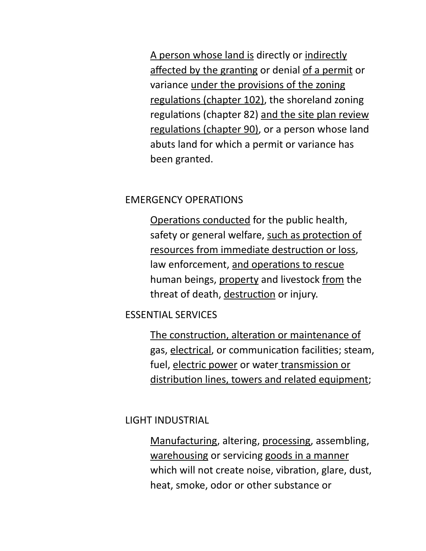A person whose land is directly or indirectly affected by the granting or denial of a permit or variance under the provisions of the zoning regulations (chapter 102), the shoreland zoning regulations (chapter 82) and the site plan review regulations (chapter 90), or a person whose land abuts land for which a permit or variance has been granted.

### EMERGENCY OPERATIONS

Operations conducted for the public health, safety or general welfare, such as protection of resources from immediate destruction or loss, law enforcement, and operations to rescue human beings, property and livestock from the threat of death, destruction or injury.

### ESSENTIAL SERVICES

The construction, alteration or maintenance of gas, electrical, or communication facilities; steam, fuel, electric power or water transmission or distribution lines, towers and related equipment;

### LIGHT INDUSTRIAL

Manufacturing, altering, processing, assembling, warehousing or servicing goods in a manner which will not create noise, vibration, glare, dust, heat, smoke, odor or other substance or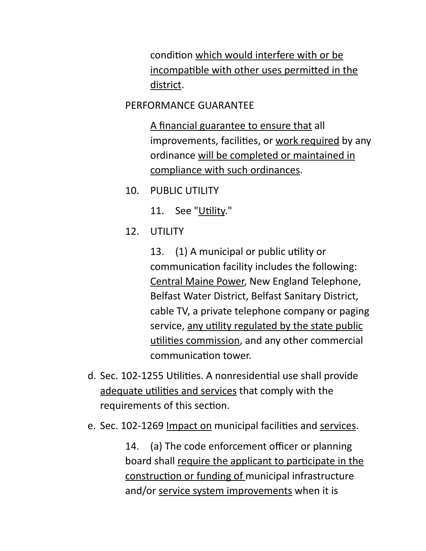condition which would interfere with or be incompatible with other uses permitted in the district.

#### PERFORMANCE GUARANTEE

A financial guarantee to ensure that all improvements, facilities, or work required by any ordinance will be completed or maintained in compliance with such ordinances.

10. PUBLIC UTILITY

11. See "Utility."

12. UTILITY

13. (1) A municipal or public utility or communication facility includes the following: Central Maine Power, New England Telephone, Belfast Water District, Belfast Sanitary District, cable TV, a private telephone company or paging service, any utility regulated by the state public utilities commission, and any other commercial communication tower.

- d. Sec. 102-1255 Utilities. A nonresidential use shall provide adequate utilities and services that comply with the requirements of this section.
- e. Sec. 102-1269 Impact on municipal facilities and services.

14. (a) The code enforcement officer or planning board shall require the applicant to participate in the construction or funding of municipal infrastructure and/or service system improvements when it is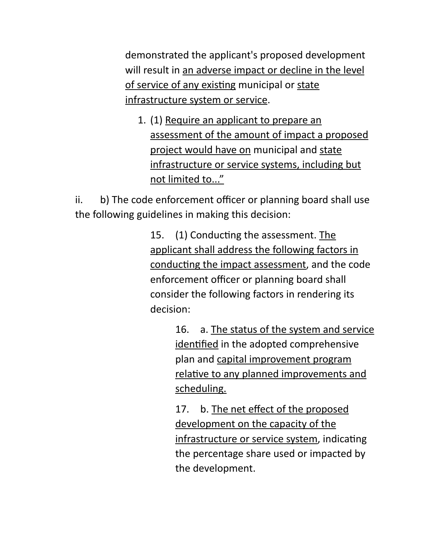demonstrated the applicant's proposed development will result in an adverse impact or decline in the level of service of any existing municipal or state infrastructure system or service.

1. (1) Require an applicant to prepare an assessment of the amount of impact a proposed project would have on municipal and state infrastructure or service systems, including but not limited to..."

ii. b) The code enforcement officer or planning board shall use the following guidelines in making this decision:

> 15. (1) Conducting the assessment. The applicant shall address the following factors in conducting the impact assessment, and the code enforcement officer or planning board shall consider the following factors in rendering its decision:

> > 16. a. The status of the system and service identified in the adopted comprehensive plan and capital improvement program relative to any planned improvements and scheduling.

17. b. The net effect of the proposed development on the capacity of the infrastructure or service system, indicating the percentage share used or impacted by the development.